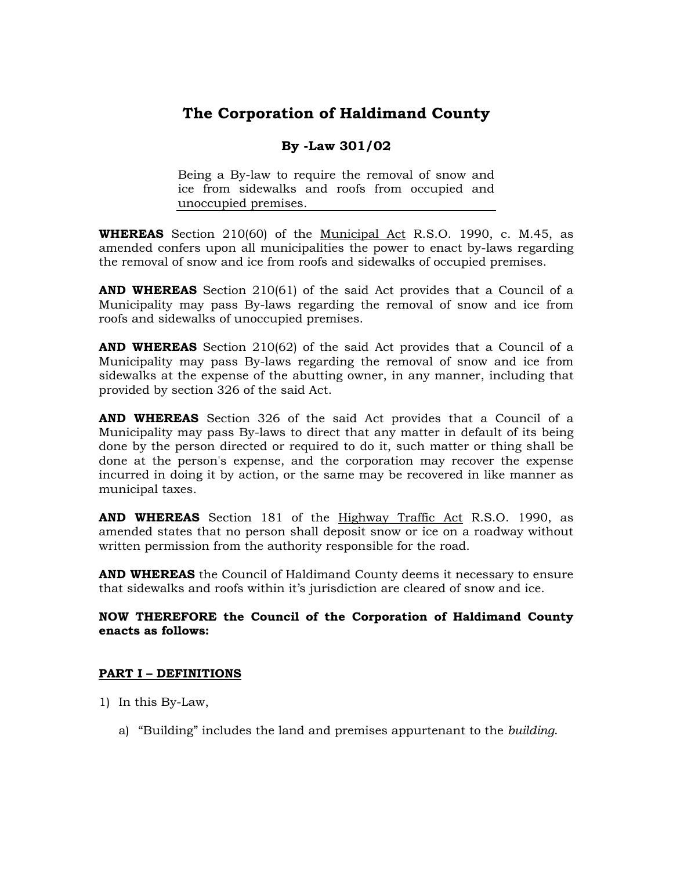# **The Corporation of Haldimand County**

# **By -Law 301/02**

Being a By-law to require the removal of snow and ice from sidewalks and roofs from occupied and unoccupied premises.

**WHEREAS** Section 210(60) of the Municipal Act R.S.O. 1990, c. M.45, as amended confers upon all municipalities the power to enact by-laws regarding the removal of snow and ice from roofs and sidewalks of occupied premises.

**AND WHEREAS** Section 210(61) of the said Act provides that a Council of a Municipality may pass By-laws regarding the removal of snow and ice from roofs and sidewalks of unoccupied premises.

**AND WHEREAS** Section 210(62) of the said Act provides that a Council of a Municipality may pass By-laws regarding the removal of snow and ice from sidewalks at the expense of the abutting owner, in any manner, including that provided by section 326 of the said Act.

**AND WHEREAS** Section 326 of the said Act provides that a Council of a Municipality may pass By-laws to direct that any matter in default of its being done by the person directed or required to do it, such matter or thing shall be done at the person's expense, and the corporation may recover the expense incurred in doing it by action, or the same may be recovered in like manner as municipal taxes.

**AND WHEREAS** Section 181 of the Highway Traffic Act R.S.O. 1990, as amended states that no person shall deposit snow or ice on a roadway without written permission from the authority responsible for the road.

**AND WHEREAS** the Council of Haldimand County deems it necessary to ensure that sidewalks and roofs within it's jurisdiction are cleared of snow and ice.

#### **NOW THEREFORE the Council of the Corporation of Haldimand County enacts as follows:**

### **PART I – DEFINITIONS**

- 1) In this By-Law,
	- a) "Building" includes the land and premises appurtenant to the *building*.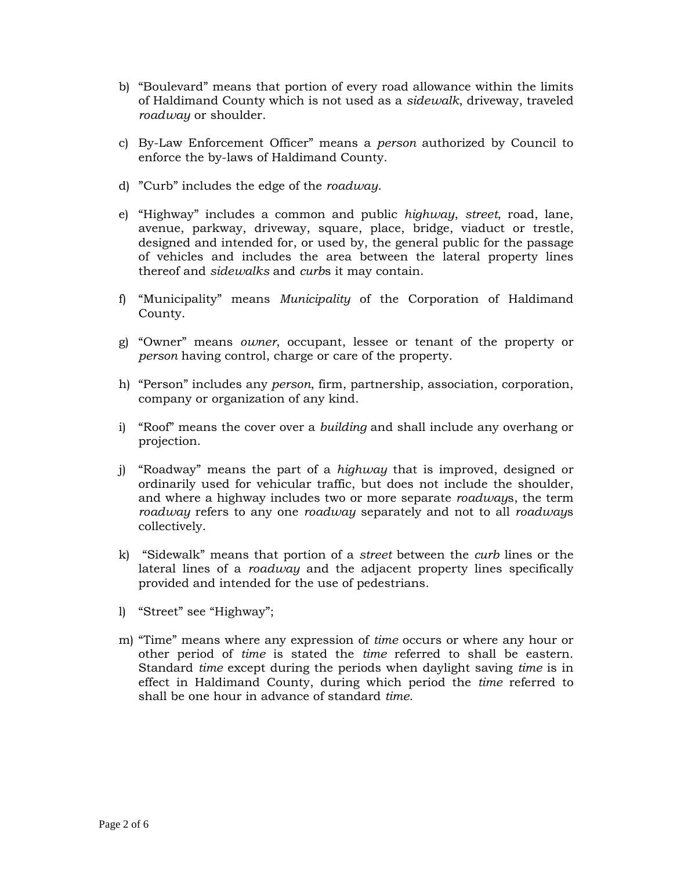- b) "Boulevard" means that portion of every road allowance within the limits of Haldimand County which is not used as a *sidewalk*, driveway, traveled *roadway* or shoulder.
- c) By-Law Enforcement Officer" means a *person* authorized by Council to enforce the by-laws of Haldimand County.
- d) "Curb" includes the edge of the *roadway*.
- e) "Highway" includes a common and public *highway*, *street*, road, lane, avenue, parkway, driveway, square, place, bridge, viaduct or trestle, designed and intended for, or used by, the general public for the passage of vehicles and includes the area between the lateral property lines thereof and *sidewalks* and *curb*s it may contain.
- f) "Municipality" means *Municipality* of the Corporation of Haldimand County.
- g) "Owner" means *owner*, occupant, lessee or tenant of the property or *person* having control, charge or care of the property.
- h) "Person" includes any *person*, firm, partnership, association, corporation, company or organization of any kind.
- i) "Roof" means the cover over a *building* and shall include any overhang or projection.
- j) "Roadway" means the part of a *highway* that is improved, designed or ordinarily used for vehicular traffic, but does not include the shoulder, and where a highway includes two or more separate *roadway*s, the term *roadway* refers to any one *roadway* separately and not to all *roadway*s collectively.
- k) "Sidewalk" means that portion of a *street* between the *curb* lines or the lateral lines of a *roadway* and the adjacent property lines specifically provided and intended for the use of pedestrians.
- l) "Street" see "Highway";
- m) "Time" means where any expression of *time* occurs or where any hour or other period of *time* is stated the *time* referred to shall be eastern. Standard *time* except during the periods when daylight saving *time* is in effect in Haldimand County, during which period the *time* referred to shall be one hour in advance of standard *time*.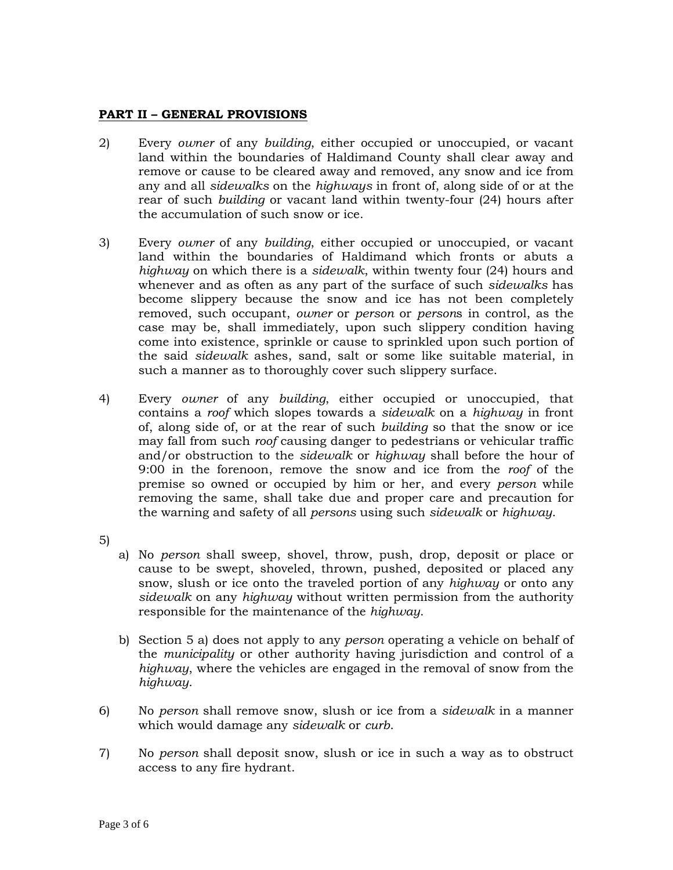#### **PART II – GENERAL PROVISIONS**

- 2) Every *owner* of any *building*, either occupied or unoccupied, or vacant land within the boundaries of Haldimand County shall clear away and remove or cause to be cleared away and removed, any snow and ice from any and all *sidewalks* on the *highways* in front of, along side of or at the rear of such *building* or vacant land within twenty-four (24) hours after the accumulation of such snow or ice.
- 3) Every *owner* of any *building*, either occupied or unoccupied, or vacant land within the boundaries of Haldimand which fronts or abuts a *highway* on which there is a *sidewalk*, within twenty four (24) hours and whenever and as often as any part of the surface of such *sidewalks* has become slippery because the snow and ice has not been completely removed, such occupant, *owner* or *person* or *person*s in control, as the case may be, shall immediately, upon such slippery condition having come into existence, sprinkle or cause to sprinkled upon such portion of the said *sidewalk* ashes, sand, salt or some like suitable material, in such a manner as to thoroughly cover such slippery surface.
- 4) Every *owner* of any *building*, either occupied or unoccupied, that contains a *roof* which slopes towards a *sidewalk* on a *highway* in front of, along side of, or at the rear of such *building* so that the snow or ice may fall from such *roof* causing danger to pedestrians or vehicular traffic and/or obstruction to the *sidewalk* or *highway* shall before the hour of 9:00 in the forenoon, remove the snow and ice from the *roof* of the premise so owned or occupied by him or her, and every *person* while removing the same, shall take due and proper care and precaution for the warning and safety of all *persons* using such *sidewalk* or *highway*.
- 5)
- a) No *person* shall sweep, shovel, throw, push, drop, deposit or place or cause to be swept, shoveled, thrown, pushed, deposited or placed any snow, slush or ice onto the traveled portion of any *highway* or onto any *sidewalk* on any *highway* without written permission from the authority responsible for the maintenance of the *highway*.
- b) Section 5 a) does not apply to any *person* operating a vehicle on behalf of the *municipality* or other authority having jurisdiction and control of a *highway*, where the vehicles are engaged in the removal of snow from the *highway*.
- 6) No *person* shall remove snow, slush or ice from a *sidewalk* in a manner which would damage any *sidewalk* or *curb*.
- 7) No *person* shall deposit snow, slush or ice in such a way as to obstruct access to any fire hydrant.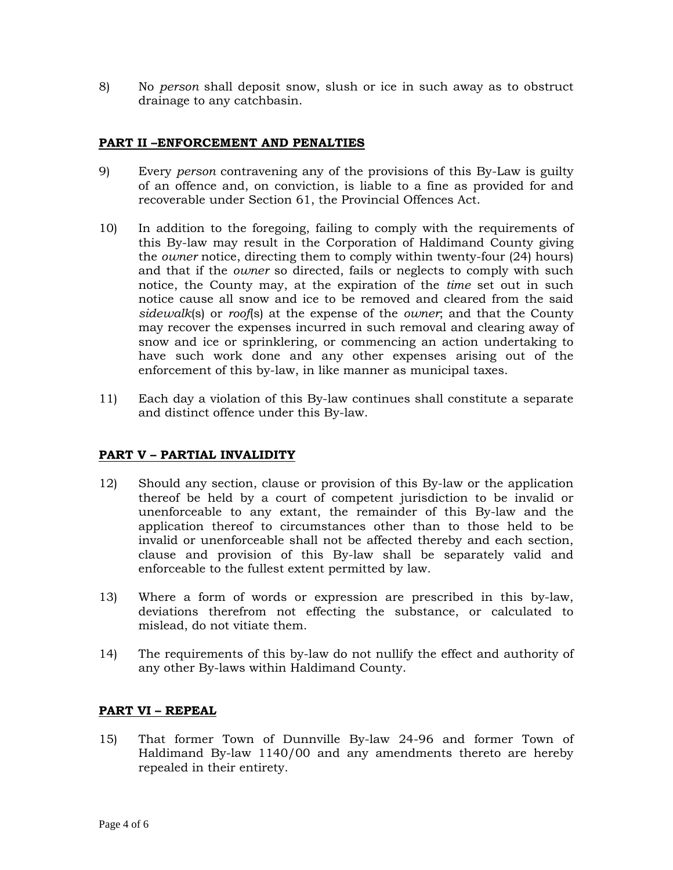8) No *person* shall deposit snow, slush or ice in such away as to obstruct drainage to any catchbasin.

#### **PART II –ENFORCEMENT AND PENALTIES**

- 9) Every *person* contravening any of the provisions of this By-Law is guilty of an offence and, on conviction, is liable to a fine as provided for and recoverable under Section 61, the Provincial Offences Act.
- 10) In addition to the foregoing, failing to comply with the requirements of this By-law may result in the Corporation of Haldimand County giving the *owner* notice, directing them to comply within twenty-four (24) hours) and that if the *owner* so directed, fails or neglects to comply with such notice, the County may, at the expiration of the *time* set out in such notice cause all snow and ice to be removed and cleared from the said *sidewalk*(s) or *roof*(s) at the expense of the *owner*; and that the County may recover the expenses incurred in such removal and clearing away of snow and ice or sprinklering, or commencing an action undertaking to have such work done and any other expenses arising out of the enforcement of this by-law, in like manner as municipal taxes.
- 11) Each day a violation of this By-law continues shall constitute a separate and distinct offence under this By-law.

#### **PART V – PARTIAL INVALIDITY**

- 12) Should any section, clause or provision of this By-law or the application thereof be held by a court of competent jurisdiction to be invalid or unenforceable to any extant, the remainder of this By-law and the application thereof to circumstances other than to those held to be invalid or unenforceable shall not be affected thereby and each section, clause and provision of this By-law shall be separately valid and enforceable to the fullest extent permitted by law.
- 13) Where a form of words or expression are prescribed in this by-law, deviations therefrom not effecting the substance, or calculated to mislead, do not vitiate them.
- 14) The requirements of this by-law do not nullify the effect and authority of any other By-laws within Haldimand County.

#### **PART VI – REPEAL**

15) That former Town of Dunnville By-law 24-96 and former Town of Haldimand By-law 1140/00 and any amendments thereto are hereby repealed in their entirety.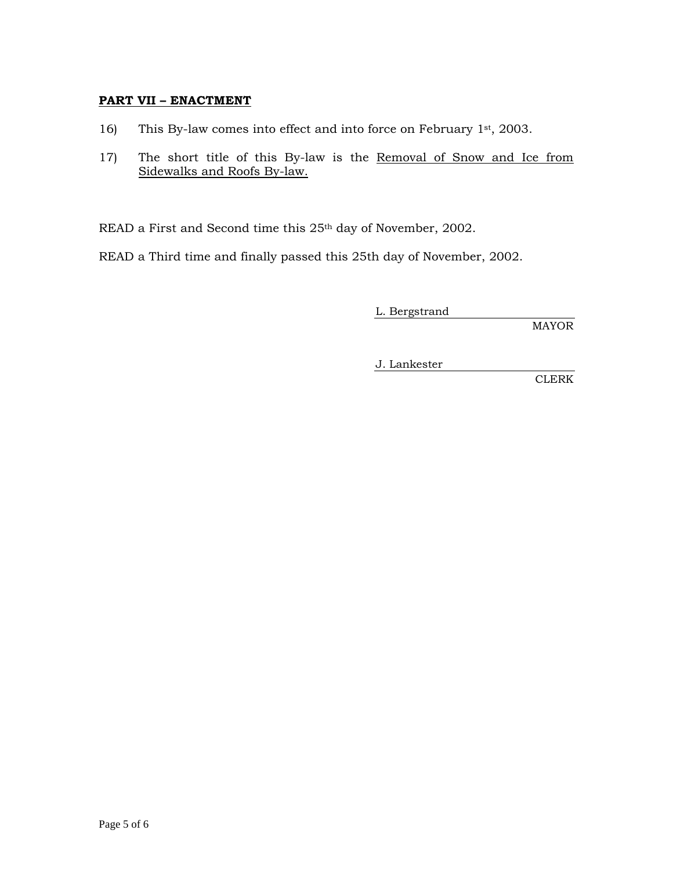#### **PART VII – ENACTMENT**

- 16) This By-law comes into effect and into force on February 1st, 2003.
- 17) The short title of this By-law is the Removal of Snow and Ice from Sidewalks and Roofs By-law.

READ a First and Second time this 25<sup>th</sup> day of November, 2002.

READ a Third time and finally passed this 25th day of November, 2002.

L. Bergstrand

MAYOR

J. Lankester

CLERK